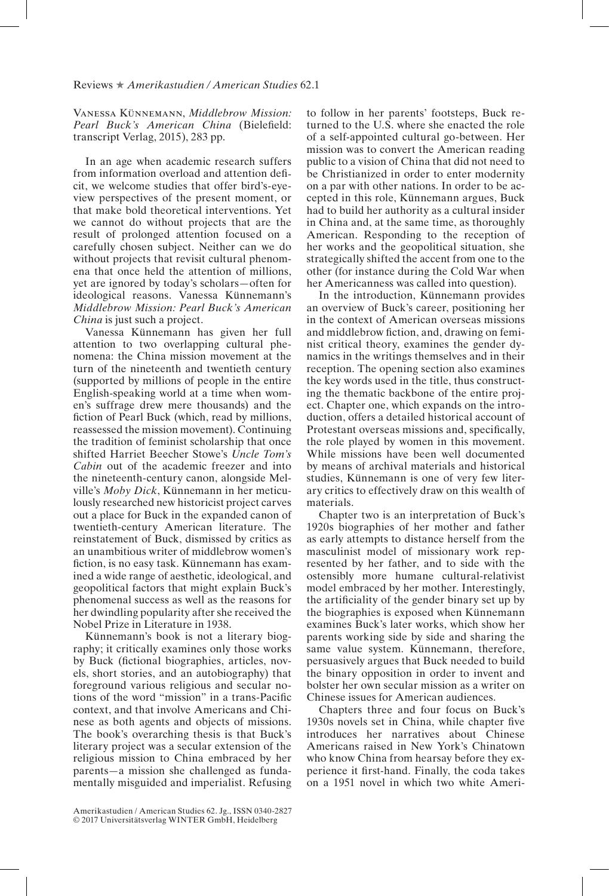## Reviews ★ *Amerikastudien / American Studies* 62.1

Vanessa Künnemann, *Middlebrow Mission: Pearl Buck's American China* (Bielefeld: transcript Verlag, 2015), 283 pp.

In an age when academic research suffers from information overload and attention defcit, we welcome studies that offer bird's-eyeview perspectives of the present moment, or that make bold theoretical interventions. Yet we cannot do without projects that are the result of prolonged attention focused on a carefully chosen subject. Neither can we do without projects that revisit cultural phenomena that once held the attention of millions, yet are ignored by today's scholars—often for ideological reasons. Vanessa Künnemann's *Middlebrow Mission: Pearl Buck's American China* is just such a project.

Vanessa Künnemann has given her full attention to two overlapping cultural phenomena: the China mission movement at the turn of the nineteenth and twentieth century (supported by millions of people in the entire English-speaking world at a time when women's suffrage drew mere thousands) and the fiction of Pearl Buck (which, read by millions, reassessed the mission movement). Continuing the tradition of feminist scholarship that once shifted Harriet Beecher Stowe's *Uncle Tom's Cabin* out of the academic freezer and into the nineteenth-century canon, alongside Melville's *Moby Dick*, Künnemann in her meticulously researched new historicist project carves out a place for Buck in the expanded canon of twentieth-century American literature. The reinstatement of Buck, dismissed by critics as an unambitious writer of middlebrow women's fction, is no easy task. Künnemann has examined a wide range of aesthetic, ideological, and geopolitical factors that might explain Buck's phenomenal success as well as the reasons for her dwindling popularity after she received the Nobel Prize in Literature in 1938.

Künnemann's book is not a literary biography; it critically examines only those works by Buck (fctional biographies, articles, novels, short stories, and an autobiography) that foreground various religious and secular notions of the word "mission" in a trans-Pacifc context, and that involve Americans and Chinese as both agents and objects of missions. The book's overarching thesis is that Buck's literary project was a secular extension of the religious mission to China embraced by her parents—a mission she challenged as fundamentally misguided and imperialist. Refusing

In the introduction, Künnemann provides an overview of Buck's career, positioning her in the context of American overseas missions and middlebrow fction, and, drawing on feminist critical theory, examines the gender dynamics in the writings themselves and in their reception. The opening section also examines the key words used in the title, thus constructing the thematic backbone of the entire project. Chapter one, which expands on the introduction, offers a detailed historical account of Protestant overseas missions and, specifcally, the role played by women in this movement. While missions have been well documented by means of archival materials and historical studies, Künnemann is one of very few literary critics to effectively draw on this wealth of materials.

Chapter two is an interpretation of Buck's 1920s biographies of her mother and father as early attempts to distance herself from the masculinist model of missionary work represented by her father, and to side with the ostensibly more humane cultural-relativist model embraced by her mother. Interestingly, the artifciality of the gender binary set up by the biographies is exposed when Künnemann examines Buck's later works, which show her parents working side by side and sharing the same value system. Künnemann, therefore, persuasively argues that Buck needed to build the binary opposition in order to invent and bolster her own secular mission as a writer on Chinese issues for American audiences.

Chapters three and four focus on Buck's 1930s novels set in China, while chapter fve introduces her narratives about Chinese Americans raised in New York's Chinatown who know China from hearsay before they experience it frst-hand. Finally, the coda takes on a 1951 novel in which two white Ameri-

to follow in her parents' footsteps, Buck returned to the U.S. where she enacted the role of a self-appointed cultural go-between. Her mission was to convert the American reading public to a vision of China that did not need to be Christianized in order to enter modernity on a par with other nations. In order to be accepted in this role, Künnemann argues, Buck had to build her authority as a cultural insider in China and, at the same time, as thoroughly American. Responding to the reception of her works and the geopolitical situation, she strategically shifted the accent from one to the other (for instance during the Cold War when her Americanness was called into question).

Amerikastudien / American Studies 62. Jg., ISSN 0340-2827 © 2017 Universitätsverlag WINTER GmbH, Heidelberg